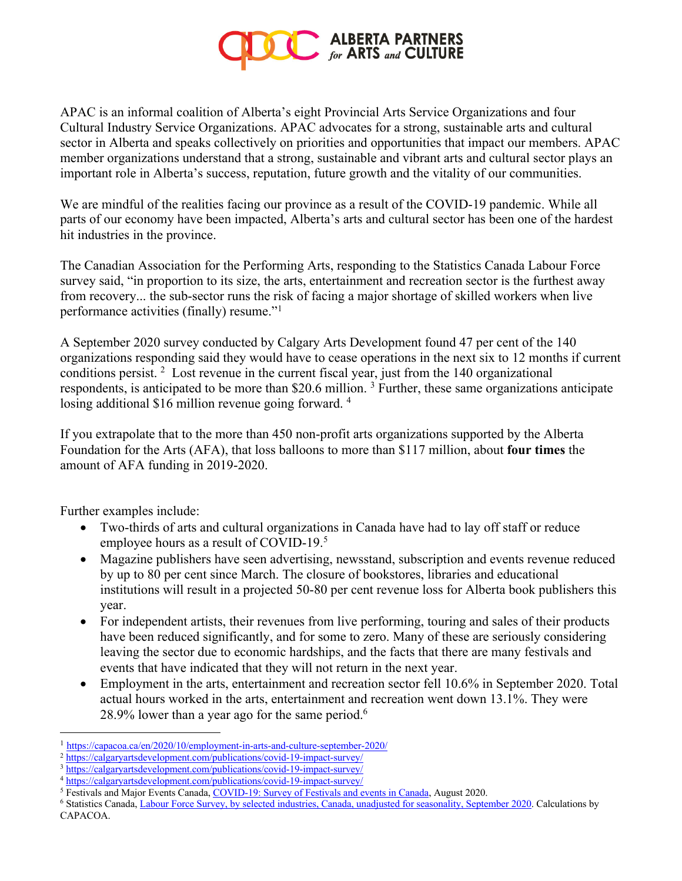

APAC is an informal coalition of Alberta's eight Provincial Arts Service Organizations and four Cultural Industry Service Organizations. APAC advocates for a strong, sustainable arts and cultural sector in Alberta and speaks collectively on priorities and opportunities that impact our members. APAC member organizations understand that a strong, sustainable and vibrant arts and cultural sector plays an important role in Alberta's success, reputation, future growth and the vitality of our communities.

We are mindful of the realities facing our province as a result of the COVID-19 pandemic. While all parts of our economy have been impacted, Alberta's arts and cultural sector has been one of the hardest hit industries in the province.

The Canadian Association for the Performing Arts, responding to the Statistics Canada Labour Force survey said, "in proportion to its size, the arts, entertainment and recreation sector is the furthest away from recovery... the sub-sector runs the risk of facing a major shortage of skilled workers when live performance activities (finally) resume."1

A September 2020 survey conducted by Calgary Arts Development found 47 per cent of the 140 organizations responding said they would have to cease operations in the next six to 12 months if current conditions persist. 2 Lost revenue in the current fiscal year, just from the 140 organizational respondents, is anticipated to be more than \$20.6 million. 3 Further, these same organizations anticipate losing additional \$16 million revenue going forward.<sup>4</sup>

If you extrapolate that to the more than 450 non-profit arts organizations supported by the Alberta Foundation for the Arts (AFA), that loss balloons to more than \$117 million, about **four times** the amount of AFA funding in 2019-2020.

Further examples include:

- Two-thirds of arts and cultural organizations in Canada have had to lay off staff or reduce employee hours as a result of COVID-19.<sup>5</sup>
- Magazine publishers have seen advertising, newsstand, subscription and events revenue reduced by up to 80 per cent since March. The closure of bookstores, libraries and educational institutions will result in a projected 50-80 per cent revenue loss for Alberta book publishers this year.
- For independent artists, their revenues from live performing, touring and sales of their products have been reduced significantly, and for some to zero. Many of these are seriously considering leaving the sector due to economic hardships, and the facts that there are many festivals and events that have indicated that they will not return in the next year.
- Employment in the arts, entertainment and recreation sector fell 10.6% in September 2020. Total actual hours worked in the arts, entertainment and recreation went down 13.1%. They were 28.9% lower than a year ago for the same period.<sup>6</sup>

<sup>1</sup> https://capacoa.ca/en/2020/10/employment-in-arts-and-culture-september-2020/

<sup>2</sup> https://calgaryartsdevelopment.com/publications/covid-19-impact-survey/

<sup>3</sup> https://calgaryartsdevelopment.com/publications/covid-19-impact-survey/

<sup>4</sup> https://calgaryartsdevelopment.com/publications/covid-19-impact-survey/

<sup>5</sup> Festivals and Major Events Canada, COVID-19: Survey of Festivals and events in Canada, August 2020.

<sup>6</sup> Statistics Canada, Labour Force Survey, by selected industries, Canada, unadjusted for seasonality, September 2020. Calculations by CAPACOA.